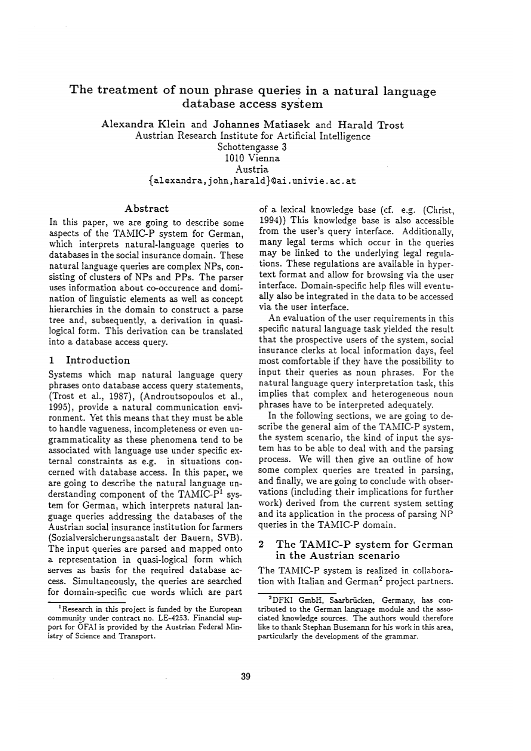# The treatment of noun phrase queries in a natural language database access system

Alexandra Klein and Johannes Matiasek and Harald Trost Austrian Research Institute for Artificial Intelligence Schottengasse 3 1010 Vienna Austria {alexandra, john ,harald}~ai. univie, ac. at

# Abstract

In this paper, we are going to describe some aspects of the TAMIC-P system for German, which interprets natural-language queries to databases in the social insurance domain. These natural language queries are complex NPs, consisting of clusters of NPs and PPs. The parser uses information about co-occurence and domination of linguistic elements as well as concept hierarchies in the domain to construct a parse tree and, subsequently, a derivation in quasilogical form. This derivation can be translated into a database access query.

#### 1 Introduction

Systems which map natural language query phrases onto database access query statements, (Trost et al., 1987), (Androutsopoulos et al., 1995), provide a natural communication environment. Yet this means that they must be able to handle vagueness, incompleteness or even ungrammaticality as these phenomena tend to be associated with language use under specific external constraints as e.g. in situations concerned with database access. In this paper, we are going to describe the natural language understanding component of the TAMIC- $P<sup>1</sup>$  system for German, which interprets natural language queries addressing the databases of the Austrian social insurance institution for farmers (Sozialversicherungsanstalt der Bauern, SVB). The input queries are parsed and mapped onto a representation in quasi-logical form which serves as basis for the required database access. Simultaneously, the queries are searched for domain-specific cue words which are part

of a lexical knowledge base (cf. e.g. (Christ, 1994)) This knowledge base is also accessible from the user's query interface. Additionally, many legal terms which occur in the queries may be linked to the underlying legal regulations. These regulations are available in hypertext format and allow for browsing via the user interface. Domain-specific help files will eventually also be integrated in the data to be accessed via the user interface.

An evaluation of the user requirements in this specific natural language task yielded the result that the prospective users of the system, social insurance clerks at local information days, feel most comfortable if they have the possibility to input their queries as noun phrases. For the natural language query interpretation task, this implies that complex and heterogeneous noun phrases have to be interpreted adequately.

In the following sections, we are going to describe the general aim of the TAMIC-P system, the system scenario, the kind of input the system has to be able to deal with and the parsing process. We will then give an outline of how some complex queries are treated in parsing, and finally, we are going to conclude with observations (including their implications for further work) derived from the current system setting and its application in the process of parsing NP queries in the TAMIC-P domain.

## 2 The TAMIC-P system for German in the Austrian scenario

The TAMIC-P system is realized in collaboration with Italian and German<sup>2</sup> project partners.

<sup>&</sup>lt;sup>1</sup>Research in this project is funded by the European community under contract no. LE-4253. Financial support for OFAI is provided by the Austrian Federal Ministry of Science and Transport.

<sup>&</sup>lt;sup>2</sup>DFKI GmbH, Saarbrücken, Germany, has contributed to the German language module and the associated knowledge sources. The authors would therefore like to thank Stephan Busemarm for his work in this area, particularly the development of the grammar.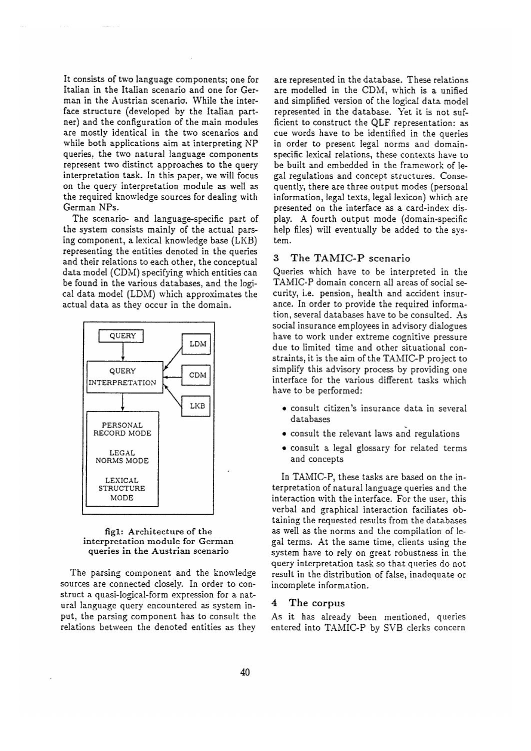It consists of two language components; one for Italian in the Italian scenario and one for German in the Austrian scenario. While the interface structure (developed by the Italian partner) and the configuration of the main modules are mostly identical in the two scenarios and while both applications aim at interpreting NP queries, the two natural language components represent two distinct approaches to the query interpretation task. In this paper, we will focus on the query interpretation module as well as the required knowledge sources for dealing with German NPs.

The scenario- and language-specific part of the system consists mainly of the actual parsing component, a lexical knowledge base (LKB) representing the entities denoted in the queries and their relations to each other, the conceptual data model (CDM) specifying which entities can be found in the various databases, and the logical data model (LDM) which approximates the actual data as they occur in the domain.



#### figl: Architecture of the interpretation module for German queries in the Austrian scenario

The parsing component and the knowledge sources are connected closely. In order to construct a quasi-logical-form expression for a natural language query encountered as system input, the parsing component has to consult the relations between the denoted entities as they

are represented in the database. These relations are modelled in the CDM, which is a unified and simplified version of the logical data model represented in the database. Yet it is not sufficient to construct the QLF representation: as cue words have to be identified in the queries in order to present legal norms and domainspecific lexical relations, these contexts have to be built and embedded in the framework of legal regulations and concept structures. Consequently, there are three output modes (personal information, legal texts, legal lexicon) which are presented on the interface as a card-index display. A fourth output mode (domain-specific help files) will eventually be added to the system.

## 3 The TAMIC-P scenario

Queries which have to be interpreted in the TAMIC-P domain concern all areas of social security, i.e. pension, health and accident insurance. In order to provide the required information, several databases have to be consulted. As social insurance employees in advisory dialogues have to work under extreme cognitive pressure due to limited time and other situational constraints, it is the aim of the TAMIC-P project to simplify this advisory process by providing one interface for the various different tasks which have to be performed:

- consult citizen's insurance data in several databases
- consult the relevant laws arid regulations
- consult a legal glossary for related terms and concepts

In TAMIC-P, these tasks are based on the interpretation of natural language queries and the interaction with the interface. For the user, this verbal and graphical interaction faciliates obtaining the requested results from the databases as well as the norms and the compilation of legal terms. At the same time, clients using the system have to rely on great robustness in the query interpretation task so that queries do not result in the distribution of false, inadequate or incomplete information.

## 4 The corpus

As it has already been mentioned, queries entered into TAMIC-P by SVB clerks concern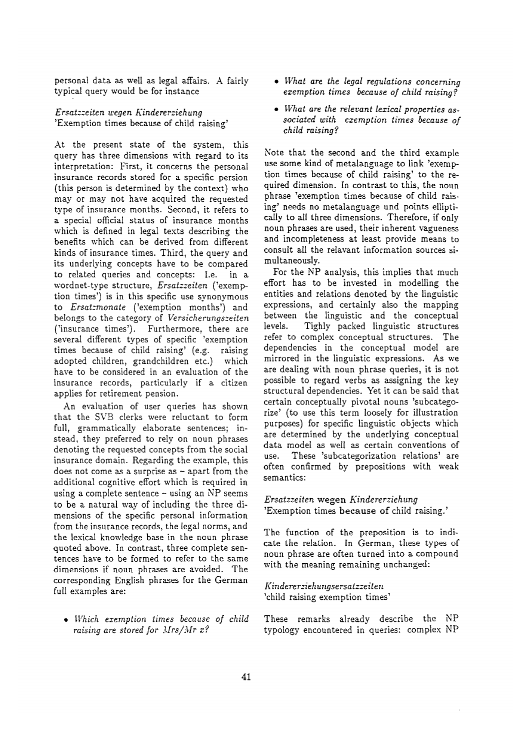personal data as well as legal affairs. A fairly typical query would be for instance

*Ersatzzeiten wegen Kindererziehung*  'Exemption times because of child raising'

At the present state of the system, this query has three dimensions with regard to its interpretation: First, it concerns the personal insurance records stored for a specific persion (this person is determined by the context) who may or may not have acquired the requested type of insurance months. Second, it refers to a special official status of insurance months which is defined in legal texts describing the benefits which can be derived from different kinds of insurance times. Third, the query and its underlying concepts have to be compared to related queries and concepts: I.e. in a wordnet-type structure, *Ersatzzeiten* ('exemption times') is in this specific use synonymous to *Ersatzmonate* ('exemption months') and belongs to the category of *Versicherungszeiten*  ('insurance times'). Furthermore, there are several different types of specific 'exemption times because of child raising' (e.g. raising adopted children, grandchildren etc.) which have to be considered in an evaluation of the insurance records, particularly if a citizen applies for retirement pension.

An evaluation of user queries has shown that the SVB clerks were reluctant to form full, grammatically elaborate sentences; instead, they preferred to rely on noun phrases denoting the requested concepts from the social insurance domain. Regarding the example, this does not come as a surprise as  $\sim$  apart from the additional cognitive effort which is required in using a complete sentence - using an NP seems to be a natural way of including the three dimensions of the specific personal information from the insurance records, the legal norms, and the lexical knowledge base in the noun phrase quoted above. In contrast, three complete sentences have to be formed to refer to the same dimensions if noun phrases are avoided. The corresponding English phrases for the German full examples are:

*• Which exemption times because of child raising are stored for Mrs/Mr x?* 

- *What are the legal regulations concerning exemption times because of child raising?*
- *What are the relevant lezical properties associated with exemption times because of child raising?*

Note that the second and the third example use some kind of metalanguage to link 'exemption times because of child raising' to the required dimension. In contrast to this, the noun phrase 'exemption times because of child raising' needs no metalanguage und points elliptically to all three dimensions. Therefore, if only noun phrases are used, their inherent vagueness and incompleteness at least provide means to consult all the relavant information sources simultaneously.

For the NP analysis, this implies that much effort has to be invested in modelling the entities and relations denoted by the linguistic expressions, and certainly also the mapping between the linguistic and the conceptual levels. Tighly packed linguistic structures refer to complex conceptual structures. The dependencies in the conceptual model are mirrored in the linguistic expressions. As we are dealing with noun phrase queries, it is not possible to regard verbs as assigning the key structural dependencies. Yet it can be said that certain conceptually pivotal nouns 'subcategorize' (to use this term loosely for illustration purposes) for specific linguistic objects which are determined by the underlying conceptual data model as well as certain conventions of use. These 'subcategorization relations' are often confirmed by prepositions with weak semantics:

*Ersatzzeiten* wegen *Kindererziehung*  'Exemption times because of child raising.'

The function of the preposition is to indicate the relation. In German, these types of noun phrase are often turned into a compound with the meaning remaining unchanged:

*Kinde rerziehu ngse rsa tzzeite n*  'child raising exemption times'

These remarks already describe the NP typology encountered in queries: complex NP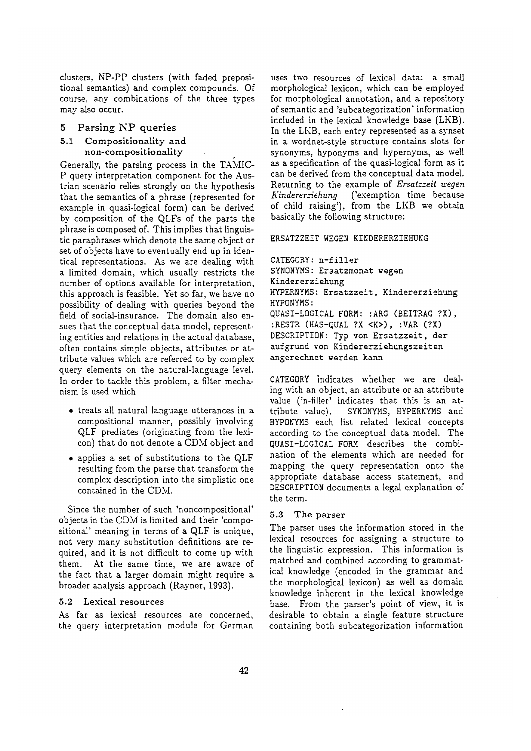clusters, NP-PP clusters (with faded prepositional semantics) and complex compounds. Of course, any combinations of the three types may also occur.

# 5 Parsing NP queries

## 5.1 Compositionality and non-compositionality

Generally, the parsing process in the TAMIC-P query interpretation component for the Austrian scenario relies strongly on the hypothesis that the semantics of a phrase (represented for example in quasi-logical form) can be derived by composition of the QLFs of the parts the phrase is composed of. This implies that linguistic paraphrases which denote the same object or set of objects have to eventually end up in identical representations. As we are dealing with a limited domain, which usually restricts the number of options available for interpretation, this approach is feasible. Yet so far, we have no possibility of dealing with queries beyond the field of social-insurance. The domain also ensues that the conceptual data model, representing entities and relations in the actual database, often contains simple objects, attributes or attribute values which are referred to by complex query elements on the natural-language level. In order to tackle this problem, a filter mechanism is used which

- treats all natural language utterances in a compositional manner, possibly involving QLF prediates (originating from the lexicon) that do not denote a CDM object and
- applies a set of substitutions to the QLF resulting from the parse that transform the complex description into the simplistic one contained in the CDM.

Since the number of such 'noncompositional' objects in the CDM is limited and their 'compositional' meaning in terms of a QLF is unique, not very many substitution definitions are required, and it is not difficult to come up with them. At the same time, we are aware of the fact that a larger domain might require a broader analysis approach (Rayner, 1993).

## 5.2 Lexical resources

As far as lexical resources are concerned, the query interpretation module for German uses two resources of lexical data: a small morphological lexicon, which can be employed for morphological annotation, and a repository of semantic and 'subcategorization' information included in the lexical knowledge base (LKB). In the LKB, each entry represented as a synset in a wordnet-style structure contains slots for synonyms, hyponyms and hypernyms, as well as a specification of the quasi-logical form as it can be derived from the conceptual data model. Returning to the example of *Ersatzzeit wegen Kindererziehung* ('exemption time because of child raising'), from the LKB we obtain basically the following structure:

#### **ERSATZZEIT WEGEN KINDERERZIEHUNG**

CATEGORY: n-filler SYNONYMS: Ersatzmonat wegen Kindererziehung HYPERNYMS: Ersatzzeit, Kindererziehung HYPONYMS: QUASI-LOGICAL FORM: :ARG (BEITRAG ?X), :RESTR (HAS-QUAL ?X <K>), :VAR (?X) DESCRIPTION: Typ yon Ersatzzeit, der aufgrund von Kindererziehungszeiten angerechnet werden kann

CATEGORY indicates whether we are dealing with an object, an attribute or an attribute value ('n-filler' indicates that this is an at-<br>tribute value). SYNONYMS, HYPERNYMS and SYNONYMS, HYPERNYMS and HYPONYMS each list related lexical concepts according to the conceptual data model. The QUASI-LOGICAL FORM describes the combination of the elements which are needed for mapping the query representation onto the appropriate database access statement, and DESCRIPTION documents a legal explanation of the term.

## 5.3 The parser

The parser uses the information stored in the lexical resources for assigning a structure to the linguistic expression. This information is matched and combined according to grammatical knowledge (encoded in the grammar and the morphological lexicon) as well as domain knowledge inherent in the lexical knowledge base. From the parser's point of view, it is desirable to obtain a single feature structure containing both subcategorization information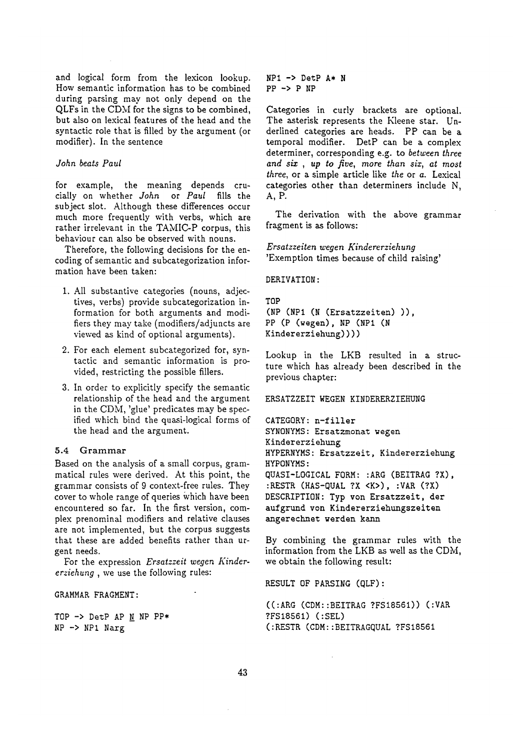and logical form from the lexicon lookup. How semantic information has to be combined during parsing may not only depend on the QLFs in the CDM for the signs to be combined, but also on lexical features of the head and the syntactic role that is filled by the argument (or modifier). In the sentence

#### *John beats Paul*

for example, the meaning depends crucially on whether *John* or *Paul* fills the subject slot. Although these differences occur much more frequently with verbs, which are rather irrelevant in the TAMIC-P corpus, this behaviour can also be observed with nouns.

Therefore, the following decisions for the encoding of semantic and subcategorization information have been taken:

- 1. All substantive categories (nouns, adjectives, verbs) provide subcategorization information for both arguments and modifiers they may take (modifiers/adjuncts are viewed as kind of optional arguments).
- 2. For each element subcategorized for, syntactic and semantic information is provided, restricting the possible fillers.
- 3. In order to explicitly specify the semantic relationship of the head and the argument in the CDM, 'glue' predicates may be specified which bind the quasi-logical forms of the head and the argument.

## 5.4 Grammar

Based on the analysis of a small corpus, grammatical rules were derived. At this point, the grammar consists of 9 context-free rules. They cover to whole range of queries Which have been encountered so far. In the first version, complex prenominal modifiers and relative clauses are not implemented, but the corpus suggests that these are added benefits rather than urgent needs.

For the expression *Ersatzzeit wegen Kindererziehung,* we use the following rules:

GRAMMAR FRAGMENT:

TOP -> DerP AP N NP PP\* NP -> NPi Narg

 $NP1$  ->  $DetP$   $A*$   $N$ **PP -> P NP** 

Categories in curly brackets are optional. The asterisk represents the Kleene star. Underlined categories are heads. PP can be a temporal modifier. DetP can be a complex determiner, corresponding e.g. to *between three and six , up to five, more than sis, at most three,* or a simple article like *the* or a. Lexical categories other than determiners include N, A, P.

The derivation with the above grammar fragment is as follows:

*Ersatzzeiten wegen Kindererziehung*  'Exemption times because of child raising'

DERIVATION:

TOP (NP (NPI (N (Ersatzzeiten))), PP (P (wegen), NP (NP1 (N Kindererziehung))))

Lookup in the LKB resulted in a structure which has already been described in the previous chapter:

#### EKSATZZEIT WEGEN KINDEREKZIEHUNG

CATEGORY: n-filler SYNONYMS: Ersatzmonat wegen Kindererziehung HYPERNYMS: Ersatzzeit, Kindererziehung HYPONYMS: QUASI-LOGICAL FORM: : ARG (BEITRAG ?X), :RESTR (HAS-QUAL ?X <K>), :VAR (?X) DESCKIPTION: Typ yon Ersatzzeit, der aufgrund von Kindererziehungszeiten angerechnet werden kann

By combining the grammar rules with the information from the LKB as well as the CDM, we obtain the following result:

RESULT OF PARSING (QLF):

((:ARG (CDM::BEITKAG ?FS18561)) (:VAK ?FS18561) (:SEL) (:KESTK (CDM::BEITRAGQUAL ?FS18561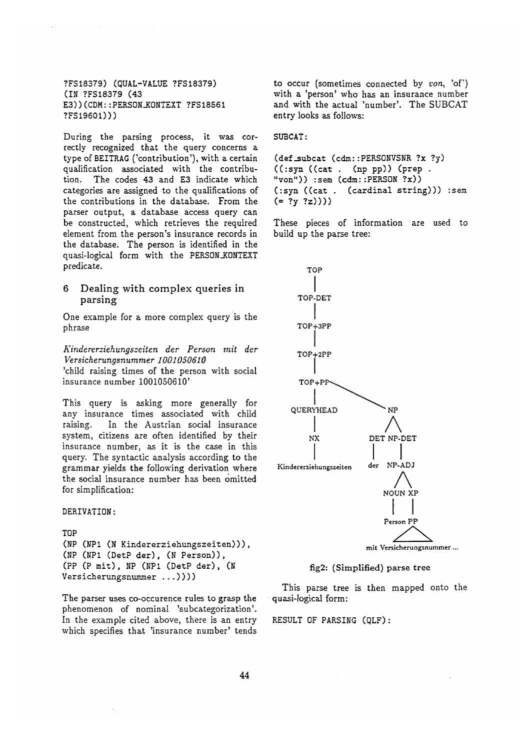?FS18379) (QUAL-VALUE ?FS18379) (IN ?FS18379 (43 E3))(CDM::PERSON\_KONTEXT ?FS18561 ?FS19601)))

During the parsing process, it was correctly recognized that the query concerns a type of BEITRAG ('contribution'), with a certain qualification associated with the contribution. The codes 43 and E3 indicate which categories are assigned to the qualifications of the contributions in the database. From the parser output, a database access query can be constructed, which retrieves the required element from the person's insurance records in the database. The person is identified in the quasi-logical form with the PERSON\_KONTEXT predicate.

## 6 Dealing with complex queries in parsing

One example for a more complex query is the phrase

*Kindererziehungszeiten der Person mit der Versicherungsnummer 1001050610* 

'child raising times of the person with social insurance number 1001050610'

This query is asking more generally for any insurance times associated with child raising. In the Austrian social insurance system, citizens are often identified by their insurance number, as it is the case in this query. The syntactic analysis according to the grammar yields the following derivation where the social insurance number has been omitted for simplification:

DERIVATION:

```
TOP 
(NP (NPi (N Kindererziehungszeiten))), 
(NP (NPI (DetP der), (N Person)), 
(PP (P mit), NP (NPI (DetP der), (N 
Versicherungsnummer ...))))
```
The parser uses co-occurence rules to grasp the phenomenon of nominal 'subcategorization'. In the example cited above, there is an entry which specifies that 'insurance number' tends to occur (sometimes connected by *von*, 'of') with a 'person' who has an insurance number and with the actual 'number'. The SUBCAT entry looks as follows:

SUBCAT :

```
(def_subcat (cdm::PERSONVSNR ?x ?y) 
((\text{cyst } , \text{ (np pp)}) (prep.
"von")) :sem (cdm::PERSON ?x)) 
(:syn ((cat . (cardinal string))) :sem
(= ?y ?z))
```
These pieces of information are used to build up the parse tree:



## fig2: (Simplified) parse tree

This parse tree is then mapped onto the • quasi-logical form:

RESULT OF PARSING (QLF):